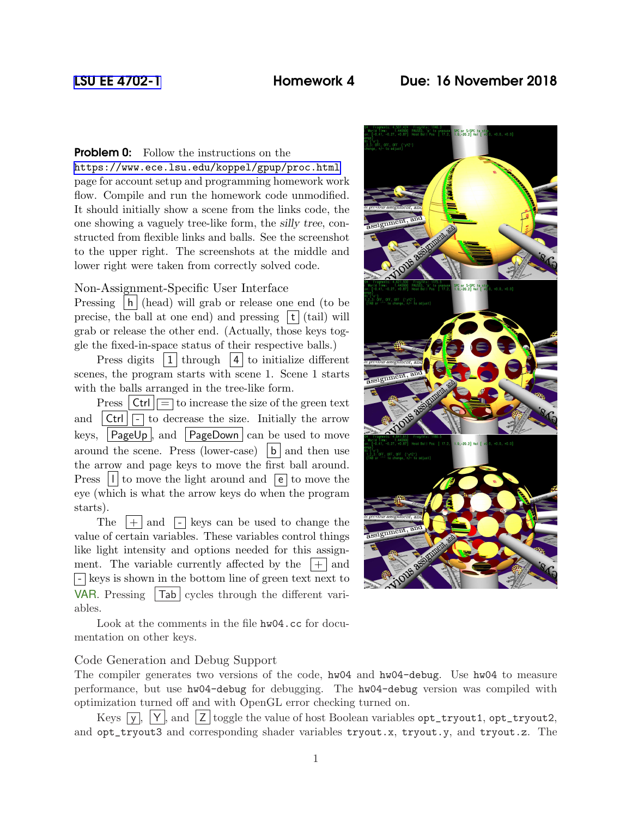# [LSU EE 4702-1](https://www.ece.lsu.edu/koppel/gpup/) Homework 4 Due: 16 November 2018

**Problem 0:** Follow the instructions on the <https://www.ece.lsu.edu/koppel/gpup/proc.html> page for account setup and programming homework work flow. Compile and run the homework code unmodified. It should initially show a scene from the links code, the one showing a vaguely tree-like form, the silly tree, constructed from flexible links and balls. See the screenshot to the upper right. The screenshots at the middle and lower right were taken from correctly solved code.

## Non-Assignment-Specific User Interface

Pressing  $|h|$  (head) will grab or release one end (to be precise, the ball at one end) and pressing  $|\mathbf{t}|$  (tail) will grab or release the other end. (Actually, those keys toggle the fixed-in-space status of their respective balls.)

Press digits  $\boxed{1}$  through  $\boxed{4}$  to initialize different scenes, the program starts with scene 1. Scene 1 starts with the balls arranged in the tree-like form.

Press  $|\text{Ctrl}| = \text{to increase the size of the green text}$ and  $|\text{Ctrl}| =$  to decrease the size. Initially the arrow keys,  $\vert$  PageUp  $\vert$ , and  $\vert$  PageDown  $\vert$  can be used to move around the scene. Press (lower-case)  $|b|$  and then use the arrow and page keys to move the first ball around. Press  $\vert \vert \vert$  to move the light around and  $\vert \vert \vert$  to move the eye (which is what the arrow keys do when the program starts).

The  $|+|$  and  $|-\rangle$  keys can be used to change the value of certain variables. These variables control things like light intensity and options needed for this assignment. The variable currently affected by the  $|+|$  and  $\lceil - \rceil$  keys is shown in the bottom line of green text next to VAR. Pressing  $|Tab|$  cycles through the different variables.

Look at the comments in the file hw04.cc for documentation on other keys.

## Code Generation and Debug Support

The compiler generates two versions of the code, hw04 and hw04-debug. Use hw04 to measure performance, but use hw04-debug for debugging. The hw04-debug version was compiled with optimization turned off and with OpenGL error checking turned on.

Keys  $\overline{y}$ ,  $\overline{y}$ ,  $\overline{Y}$ , and  $\overline{Z}$  toggle the value of host Boolean variables opt\_tryout1, opt\_tryout2, and opt\_tryout3 and corresponding shader variables tryout.x, tryout.y, and tryout.z. The

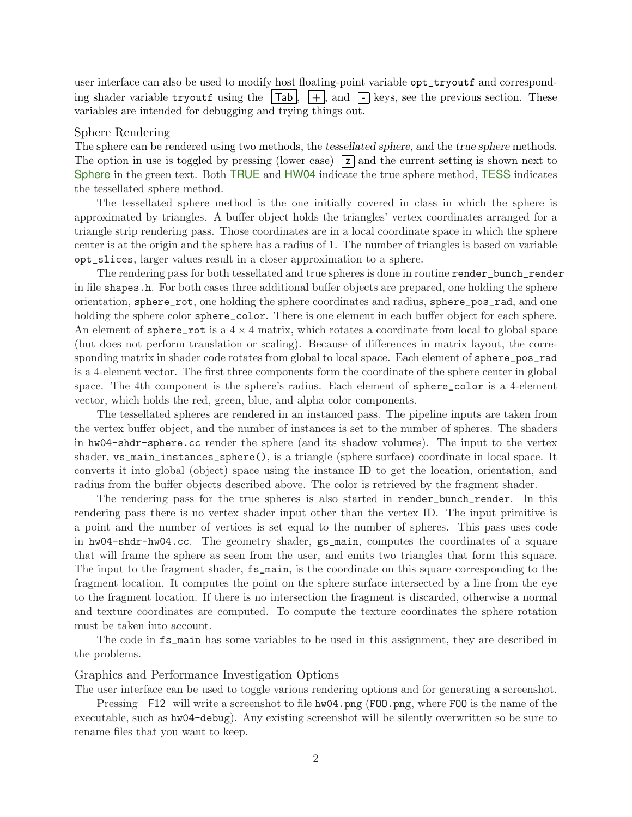user interface can also be used to modify host floating-point variable opt\_tryoutf and corresponding shader variable tryoutf using the  $|\text{Tab}|$ ,  $|+\rangle$ , and  $|\cdot|$  keys, see the previous section. These variables are intended for debugging and trying things out.

#### Sphere Rendering

The sphere can be rendered using two methods, the tessellated sphere, and the true sphere methods. The option in use is toggled by pressing (lower case)  $\boxed{z}$  and the current setting is shown next to Sphere in the green text. Both TRUE and HW04 indicate the true sphere method, TESS indicates the tessellated sphere method.

The tessellated sphere method is the one initially covered in class in which the sphere is approximated by triangles. A buffer object holds the triangles' vertex coordinates arranged for a triangle strip rendering pass. Those coordinates are in a local coordinate space in which the sphere center is at the origin and the sphere has a radius of 1. The number of triangles is based on variable opt\_slices, larger values result in a closer approximation to a sphere.

The rendering pass for both tessellated and true spheres is done in routine render\_bunch\_render in file shapes.h. For both cases three additional buffer objects are prepared, one holding the sphere orientation, sphere\_rot, one holding the sphere coordinates and radius, sphere\_pos\_rad, and one holding the sphere color sphere<sub>color</sub>. There is one element in each buffer object for each sphere. An element of sphere\_rot is a  $4 \times 4$  matrix, which rotates a coordinate from local to global space (but does not perform translation or scaling). Because of differences in matrix layout, the corresponding matrix in shader code rotates from global to local space. Each element of sphere\_pos\_rad is a 4-element vector. The first three components form the coordinate of the sphere center in global space. The 4th component is the sphere's radius. Each element of sphere\_color is a 4-element vector, which holds the red, green, blue, and alpha color components.

The tessellated spheres are rendered in an instanced pass. The pipeline inputs are taken from the vertex buffer object, and the number of instances is set to the number of spheres. The shaders in hw04-shdr-sphere.cc render the sphere (and its shadow volumes). The input to the vertex shader, vs\_main\_instances\_sphere(), is a triangle (sphere surface) coordinate in local space. It converts it into global (object) space using the instance ID to get the location, orientation, and radius from the buffer objects described above. The color is retrieved by the fragment shader.

The rendering pass for the true spheres is also started in render\_bunch\_render. In this rendering pass there is no vertex shader input other than the vertex ID. The input primitive is a point and the number of vertices is set equal to the number of spheres. This pass uses code in hw04-shdr-hw04.cc. The geometry shader, gs\_main, computes the coordinates of a square that will frame the sphere as seen from the user, and emits two triangles that form this square. The input to the fragment shader, fs\_main, is the coordinate on this square corresponding to the fragment location. It computes the point on the sphere surface intersected by a line from the eye to the fragment location. If there is no intersection the fragment is discarded, otherwise a normal and texture coordinates are computed. To compute the texture coordinates the sphere rotation must be taken into account.

The code in fs\_main has some variables to be used in this assignment, they are described in the problems.

## Graphics and Performance Investigation Options

The user interface can be used to toggle various rendering options and for generating a screenshot.

Pressing  $|F12|$  will write a screenshot to file hw04.png (F00.png, where F00 is the name of the executable, such as hw04-debug). Any existing screenshot will be silently overwritten so be sure to rename files that you want to keep.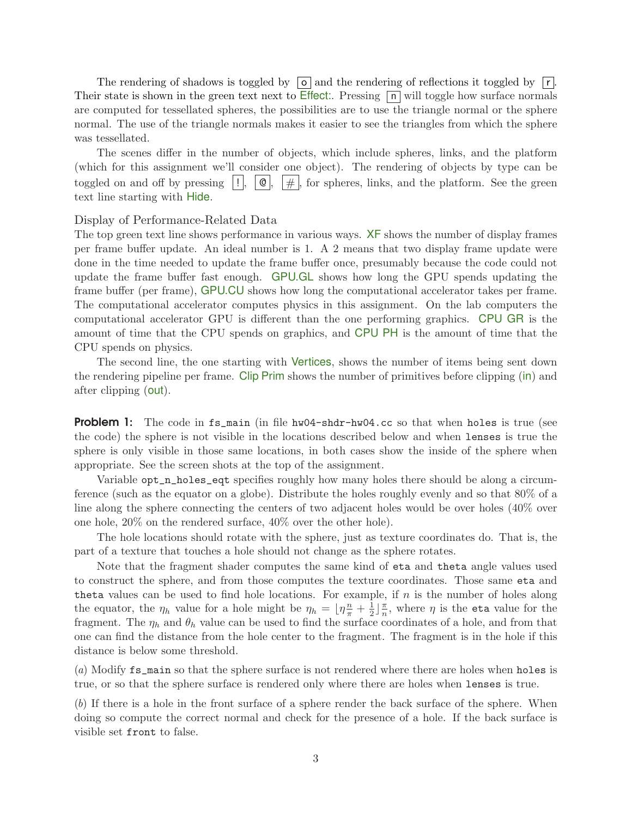The rendering of shadows is toggled by  $\boxed{\circ}$  and the rendering of reflections it toggled by  $\boxed{\mathsf{r}}$ . Their state is shown in the green text next to Effect:. Pressing  $\boxed{\vert n\vert}$  will toggle how surface normals are computed for tessellated spheres, the possibilities are to use the triangle normal or the sphere normal. The use of the triangle normals makes it easier to see the triangles from which the sphere was tessellated.

The scenes differ in the number of objects, which include spheres, links, and the platform (which for this assignment we'll consider one object). The rendering of objects by type can be toggled on and off by pressing  $\|\cdot\|$ ,  $\|\cdot\|$ ,  $\|\cdot\|$ , for spheres, links, and the platform. See the green text line starting with Hide.

### Display of Performance-Related Data

The top green text line shows performance in various ways. XF shows the number of display frames per frame buffer update. An ideal number is 1. A 2 means that two display frame update were done in the time needed to update the frame buffer once, presumably because the code could not update the frame buffer fast enough. GPU.GL shows how long the GPU spends updating the frame buffer (per frame), GPU.CU shows how long the computational accelerator takes per frame. The computational accelerator computes physics in this assignment. On the lab computers the computational accelerator GPU is different than the one performing graphics. CPU GR is the amount of time that the CPU spends on graphics, and CPU PH is the amount of time that the CPU spends on physics.

The second line, the one starting with Vertices, shows the number of items being sent down the rendering pipeline per frame. Clip Prim shows the number of primitives before clipping (in) and after clipping (out).

**Problem 1:** The code in fs\_main (in file hw04-shdr-hw04.cc so that when holes is true (see the code) the sphere is not visible in the locations described below and when lenses is true the sphere is only visible in those same locations, in both cases show the inside of the sphere when appropriate. See the screen shots at the top of the assignment.

Variable opt\_n\_holes\_eqt specifies roughly how many holes there should be along a circumference (such as the equator on a globe). Distribute the holes roughly evenly and so that 80% of a line along the sphere connecting the centers of two adjacent holes would be over holes (40% over one hole, 20% on the rendered surface, 40% over the other hole).

The hole locations should rotate with the sphere, just as texture coordinates do. That is, the part of a texture that touches a hole should not change as the sphere rotates.

Note that the fragment shader computes the same kind of eta and theta angle values used to construct the sphere, and from those computes the texture coordinates. Those same eta and theta values can be used to find hole locations. For example, if  $n$  is the number of holes along the equator, the  $\eta_h$  value for a hole might be  $\eta_h = \lfloor \eta \frac{n}{\pi} + \frac{1}{2} \rfloor$  $\frac{1}{2}$  $\frac{\pi}{n}$  $\frac{\pi}{n}$ , where  $\eta$  is the eta value for the fragment. The  $\eta_h$  and  $\theta_h$  value can be used to find the surface coordinates of a hole, and from that one can find the distance from the hole center to the fragment. The fragment is in the hole if this distance is below some threshold.

(a) Modify fs\_main so that the sphere surface is not rendered where there are holes when holes is true, or so that the sphere surface is rendered only where there are holes when lenses is true.

(b) If there is a hole in the front surface of a sphere render the back surface of the sphere. When doing so compute the correct normal and check for the presence of a hole. If the back surface is visible set front to false.